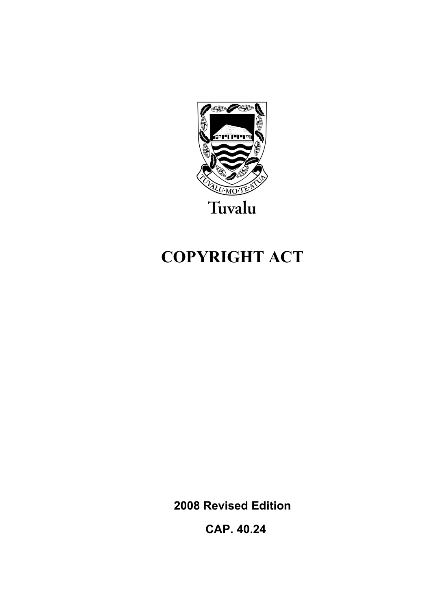

# **COPYRIGHT ACT**

**2008 Revised Edition** 

 **CAP. 40.24**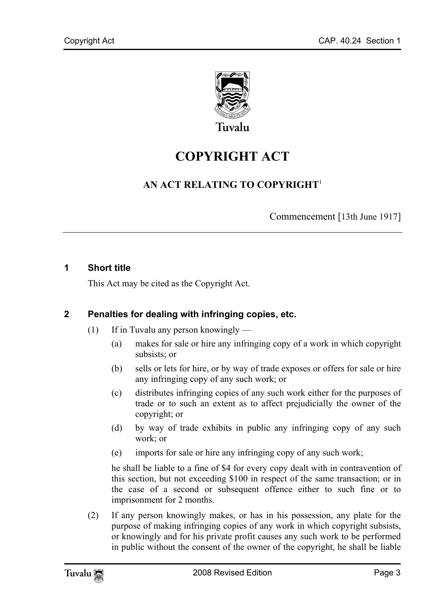

# **COPYRIGHT ACT**

### **AN ACT RELATING TO COPYRIGHT**<sup>1</sup>

Commencement [13th June 1917]

#### **1 Short title**

This Act may be cited as the Copyright Act.

#### **2 Penalties for dealing with infringing copies, etc.**

- (1) If in Tuvalu any person knowingly
	- (a) makes for sale or hire any infringing copy of a work in which copyright subsists; or
	- (b) sells or lets for hire, or by way of trade exposes or offers for sale or hire any infringing copy of any such work; or
	- (c) distributes infringing copies of any such work either for the purposes of trade or to such an extent as to affect prejudicially the owner of the copyright; or
	- (d) by way of trade exhibits in public any infringing copy of any such work; or
	- (e) imports for sale or hire any infringing copy of any such work;

he shall be liable to a fine of \$4 for every copy dealt with in contravention of this section, but not exceeding \$100 in respect of the same transaction; or in the case of a second or subsequent offence either to such fine or to imprisonment for 2 months.

(2) If any person knowingly makes, or has in his possession, any plate for the purpose of making infringing copies of any work in which copyright subsists, or knowingly and for his private profit causes any such work to be performed in public without the consent of the owner of the copyright, he shall be liable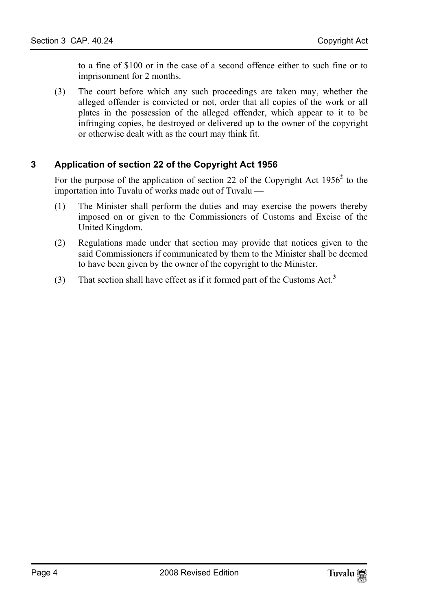to a fine of \$100 or in the case of a second offence either to such fine or to imprisonment for 2 months.

(3) The court before which any such proceedings are taken may, whether the alleged offender is convicted or not, order that all copies of the work or all plates in the possession of the alleged offender, which appear to it to be infringing copies, be destroyed or delivered up to the owner of the copyright or otherwise dealt with as the court may think fit.

#### **3 Application of section 22 of the Copyright Act 1956**

For the purpose of the application of section 22 of the Copyright Act  $1956<sup>2</sup>$  to the importation into Tuvalu of works made out of Tuvalu —

- (1) The Minister shall perform the duties and may exercise the powers thereby imposed on or given to the Commissioners of Customs and Excise of the United Kingdom.
- (2) Regulations made under that section may provide that notices given to the said Commissioners if communicated by them to the Minister shall be deemed to have been given by the owner of the copyright to the Minister.
- (3) That section shall have effect as if it formed part of the Customs Act.**<sup>3</sup>**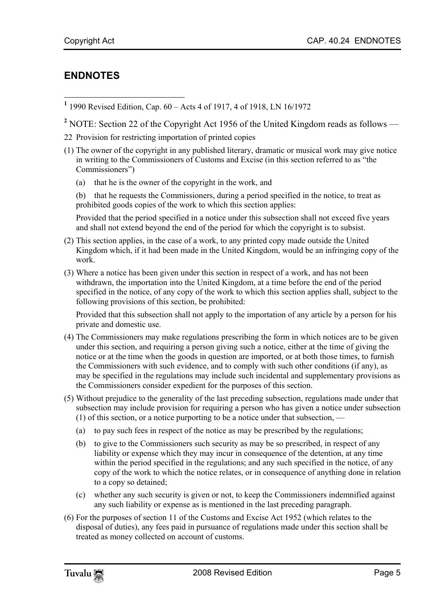## **ENDNOTES**

 $\overline{\phantom{a}}$ 

- **1** 1990 Revised Edition, Cap. 60 Acts 4 of 1917, 4 of 1918, LN 16/1972
- <sup>2</sup> NOTE: Section 22 of the Copyright Act 1956 of the United Kingdom reads as follows —
- 22 Provision for restricting importation of printed copies
- (1) The owner of the copyright in any published literary, dramatic or musical work may give notice in writing to the Commissioners of Customs and Excise (in this section referred to as "the Commissioners")
	- (a) that he is the owner of the copyright in the work, and

 (b) that he requests the Commissioners, during a period specified in the notice, to treat as prohibited goods copies of the work to which this section applies:

 Provided that the period specified in a notice under this subsection shall not exceed five years and shall not extend beyond the end of the period for which the copyright is to subsist.

- (2) This section applies, in the case of a work, to any printed copy made outside the United Kingdom which, if it had been made in the United Kingdom, would be an infringing copy of the work.
- (3) Where a notice has been given under this section in respect of a work, and has not been withdrawn, the importation into the United Kingdom, at a time before the end of the period specified in the notice, of any copy of the work to which this section applies shall, subject to the following provisions of this section, be prohibited:

 Provided that this subsection shall not apply to the importation of any article by a person for his private and domestic use.

- (4) The Commissioners may make regulations prescribing the form in which notices are to be given under this section, and requiring a person giving such a notice, either at the time of giving the notice or at the time when the goods in question are imported, or at both those times, to furnish the Commissioners with such evidence, and to comply with such other conditions (if any), as may be specified in the regulations may include such incidental and supplementary provisions as the Commissioners consider expedient for the purposes of this section.
- (5) Without prejudice to the generality of the last preceding subsection, regulations made under that subsection may include provision for requiring a person who has given a notice under subsection (1) of this section, or a notice purporting to be a notice under that subsection, —
	- (a) to pay such fees in respect of the notice as may be prescribed by the regulations;
	- (b) to give to the Commissioners such security as may be so prescribed, in respect of any liability or expense which they may incur in consequence of the detention, at any time within the period specified in the regulations; and any such specified in the notice, of any copy of the work to which the notice relates, or in consequence of anything done in relation to a copy so detained;
	- (c) whether any such security is given or not, to keep the Commissioners indemnified against any such liability or expense as is mentioned in the last preceding paragraph.
- (6) For the purposes of section 11 of the Customs and Excise Act 1952 (which relates to the disposal of duties), any fees paid in pursuance of regulations made under this section shall be treated as money collected on account of customs.